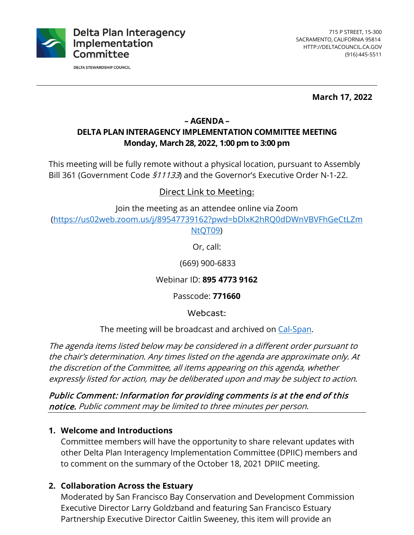

**DELTA STEWARDSHIP COUNCIL** 

**March 17, 2022**

### **– AGENDA – DELTA PLAN INTERAGENCY IMPLEMENTATION COMMITTEE MEETING Monday, March 28, 2022, 1:00 pm to 3:00 pm**

This meeting will be fully remote without a physical location, pursuant to Assembly Bill 361 (Government Code  $$11133$ ) and the Governor's Executive Order N-1-22.

## Direct Link to Meeting:

Join the meeting as an attendee online via Zoom

[\(https://us02web.zoom.us/j/89547739162?pwd=bDlxK2hRQ0dDWnVBVFhGeCtLZm](https://us02web.zoom.us/j/89547739162?pwd=bDlxK2hRQ0dDWnVBVFhGeCtLZmNtQT09) [NtQT09\)](https://us02web.zoom.us/j/89547739162?pwd=bDlxK2hRQ0dDWnVBVFhGeCtLZmNtQT09)

Or, call:

(669) 900-6833

Webinar ID: **895 4773 9162**

Passcode: **771660**

Webcast:

The meeting will be broadcast and archived on [Cal-Span.](https://www.cal-span.org/)

The agenda items listed below may be considered in a different order pursuant to the chair's determination. Any times listed on the agenda are approximate only. At the discretion of the Committee, all items appearing on this agenda, whether expressly listed for action, may be deliberated upon and may be subject to action.

Public Comment: Information for providing comments is at the end of this notice. Public comment may be limited to three minutes per person.

### **1. Welcome and Introductions**

Committee members will have the opportunity to share relevant updates with other Delta Plan Interagency Implementation Committee (DPIIC) members and to comment on the summary of the October 18, 2021 DPIIC meeting.

# **2. Collaboration Across the Estuary**

Moderated by San Francisco Bay Conservation and Development Commission Executive Director Larry Goldzband and featuring San Francisco Estuary Partnership Executive Director Caitlin Sweeney, this item will provide an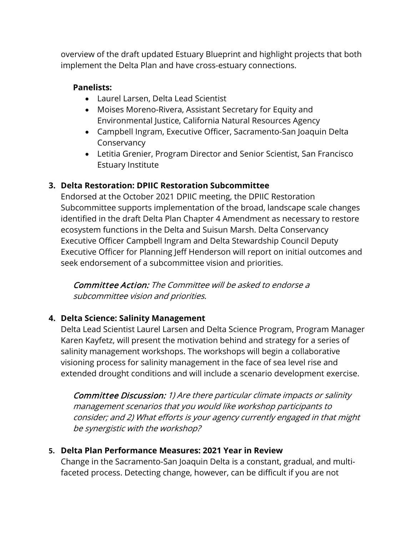overview of the draft updated Estuary Blueprint and highlight projects that both implement the Delta Plan and have cross-estuary connections.

#### **Panelists:**

- Laurel Larsen, Delta Lead Scientist
- Moises Moreno-Rivera, Assistant Secretary for Equity and Environmental Justice, California Natural Resources Agency
- Campbell Ingram, Executive Officer, Sacramento-San Joaquin Delta **Conservancy**
- Letitia Grenier, Program Director and Senior Scientist, San Francisco Estuary Institute

## **3. Delta Restoration: DPIIC Restoration Subcommittee**

Endorsed at the October 2021 DPIIC meeting, the DPIIC Restoration Subcommittee supports implementation of the broad, landscape scale changes identified in the draft Delta Plan Chapter 4 Amendment as necessary to restore ecosystem functions in the Delta and Suisun Marsh. Delta Conservancy Executive Officer Campbell Ingram and Delta Stewardship Council Deputy Executive Officer for Planning Jeff Henderson will report on initial outcomes and seek endorsement of a subcommittee vision and priorities.

Committee Action: The Committee will be asked to endorse a subcommittee vision and priorities.

# **4. Delta Science: Salinity Management**

Delta Lead Scientist Laurel Larsen and Delta Science Program, Program Manager Karen Kayfetz, will present the motivation behind and strategy for a series of salinity management workshops. The workshops will begin a collaborative visioning process for salinity management in the face of sea level rise and extended drought conditions and will include a scenario development exercise.

Committee Discussion: 1) Are there particular climate impacts or salinity management scenarios that you would like workshop participants to consider; and 2) What efforts is your agency currently engaged in that might be synergistic with the workshop?

### **5. Delta Plan Performance Measures: 2021 Year in Review**

Change in the Sacramento-San Joaquin Delta is a constant, gradual, and multifaceted process. Detecting change, however, can be difficult if you are not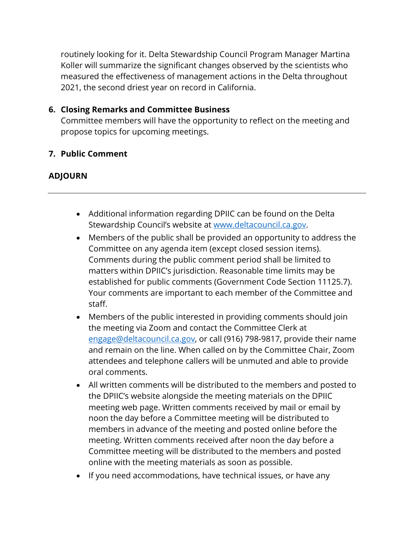routinely looking for it. Delta Stewardship Council Program Manager Martina Koller will summarize the significant changes observed by the scientists who measured the effectiveness of management actions in the Delta throughout 2021, the second driest year on record in California.

#### **6. Closing Remarks and Committee Business**

Committee members will have the opportunity to reflect on the meeting and propose topics for upcoming meetings.

#### **7. Public Comment**

#### **ADJOURN**

- Additional information regarding DPIIC can be found on the Delta Stewardship Council's website at [www.deltacouncil.ca.gov.](http://www.deltacouncil.ca.gov/)
- Members of the public shall be provided an opportunity to address the Committee on any agenda item (except closed session items). Comments during the public comment period shall be limited to matters within DPIIC's jurisdiction. Reasonable time limits may be established for public comments (Government Code Section 11125.7). Your comments are important to each member of the Committee and staff.
- Members of the public interested in providing comments should join the meeting via Zoom and contact the Committee Clerk at [engage@deltacouncil.ca.gov,](mailto:engage@deltacouncil.ca.gov) or call (916) 798-9817, provide their name and remain on the line. When called on by the Committee Chair, Zoom attendees and telephone callers will be unmuted and able to provide oral comments.
- All written comments will be distributed to the members and posted to the DPIIC's website alongside the meeting materials on the DPIIC meeting web page. Written comments received by mail or email by noon the day before a Committee meeting will be distributed to members in advance of the meeting and posted online before the meeting. Written comments received after noon the day before a Committee meeting will be distributed to the members and posted online with the meeting materials as soon as possible.
- If you need accommodations, have technical issues, or have any